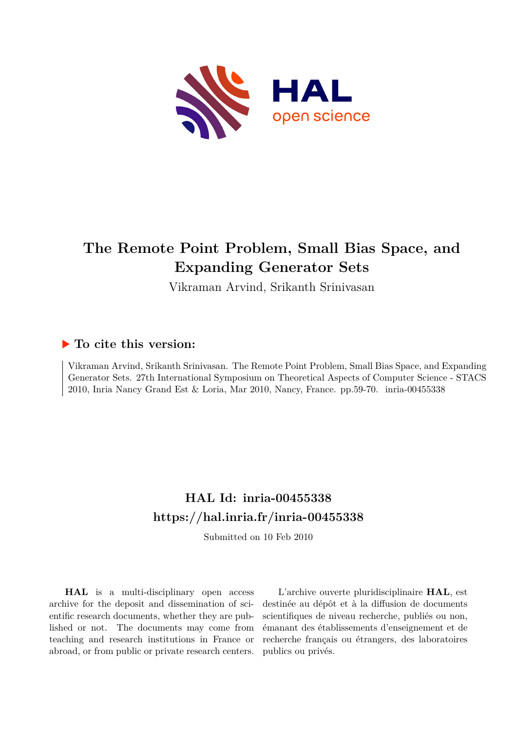

# **The Remote Point Problem, Small Bias Space, and Expanding Generator Sets**

Vikraman Arvind, Srikanth Srinivasan

# **To cite this version:**

Vikraman Arvind, Srikanth Srinivasan. The Remote Point Problem, Small Bias Space, and Expanding Generator Sets. 27th International Symposium on Theoretical Aspects of Computer Science - STACS 2010, Inria Nancy Grand Est & Loria, Mar 2010, Nancy, France. pp. 59-70. inria-00455338

# **HAL Id: inria-00455338 <https://hal.inria.fr/inria-00455338>**

Submitted on 10 Feb 2010

**HAL** is a multi-disciplinary open access archive for the deposit and dissemination of scientific research documents, whether they are published or not. The documents may come from teaching and research institutions in France or abroad, or from public or private research centers.

L'archive ouverte pluridisciplinaire **HAL**, est destinée au dépôt et à la diffusion de documents scientifiques de niveau recherche, publiés ou non, émanant des établissements d'enseignement et de recherche français ou étrangers, des laboratoires publics ou privés.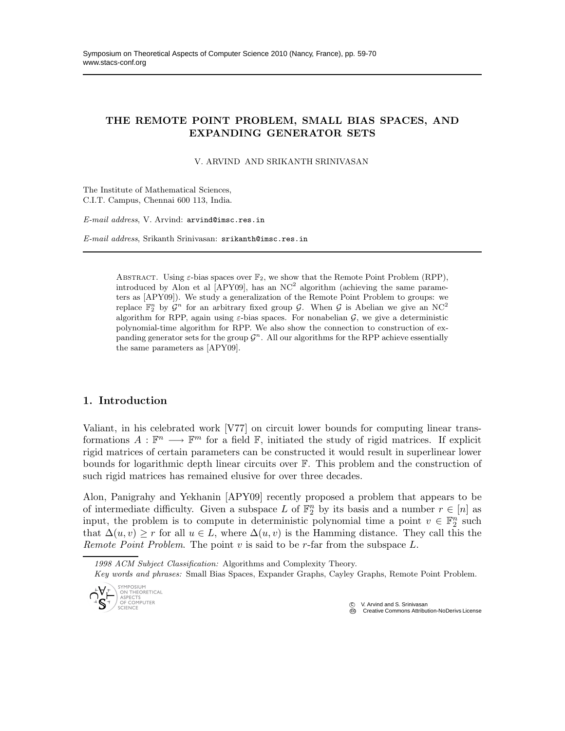# THE REMOTE POINT PROBLEM, SMALL BIAS SPACES, AND EXPANDING GENERATOR SETS

V. ARVIND AND SRIKANTH SRINIVASAN

The Institute of Mathematical Sciences, C.I.T. Campus, Chennai 600 113, India.

*E-mail address*, V. Arvind: arvind@imsc.res.in

*E-mail address*, Srikanth Srinivasan: srikanth@imsc.res.in

ABSTRACT. Using  $\varepsilon$ -bias spaces over  $\mathbb{F}_2$ , we show that the Remote Point Problem (RPP), introduced by Alon et al  $[APY09]$ , has an NC<sup>2</sup> algorithm (achieving the same parameters as [APY09]). We study a generalization of the Remote Point Problem to groups: we replace  $\mathbb{F}_2^n$  by  $\mathcal{G}^n$  for an arbitrary fixed group  $\mathcal{G}$ . When  $\mathcal{G}$  is Abelian we give an NC<sup>2</sup> algorithm for RPP, again using  $\varepsilon$ -bias spaces. For nonabelian  $\mathcal{G}$ , we give a deterministic polynomial-time algorithm for RPP. We also show the connection to construction of expanding generator sets for the group  $\mathcal{G}^n$ . All our algorithms for the RPP achieve essentially the same parameters as [APY09].

# 1. Introduction

Valiant, in his celebrated work [V77] on circuit lower bounds for computing linear transformations  $A : \mathbb{F}^n \longrightarrow \mathbb{F}^m$  for a field  $\mathbb{F}$ , initiated the study of rigid matrices. If explicit rigid matrices of certain parameters can be constructed it would result in superlinear lower bounds for logarithmic depth linear circuits over F. This problem and the construction of such rigid matrices has remained elusive for over three decades.

Alon, Panigrahy and Yekhanin [APY09] recently proposed a problem that appears to be of intermediate difficulty. Given a subspace L of  $\mathbb{F}_2^n$  by its basis and a number  $r \in [n]$  as input, the problem is to compute in deterministic polynomial time a point  $v \in \mathbb{F}_2^n$  such that  $\Delta(u, v) \geq r$  for all  $u \in L$ , where  $\Delta(u, v)$  is the Hamming distance. They call this the Remote Point Problem. The point v is said to be r-far from the subspace  $L$ .

*1998 ACM Subject Classification:* Algorithms and Complexity Theory.

*Key words and phrases:* Small Bias Spaces, Expander Graphs, Cayley Graphs, Remote Point Problem.



V. Arvind and S. Srinivasan **Creative Commons Attribution-NoDerivs License**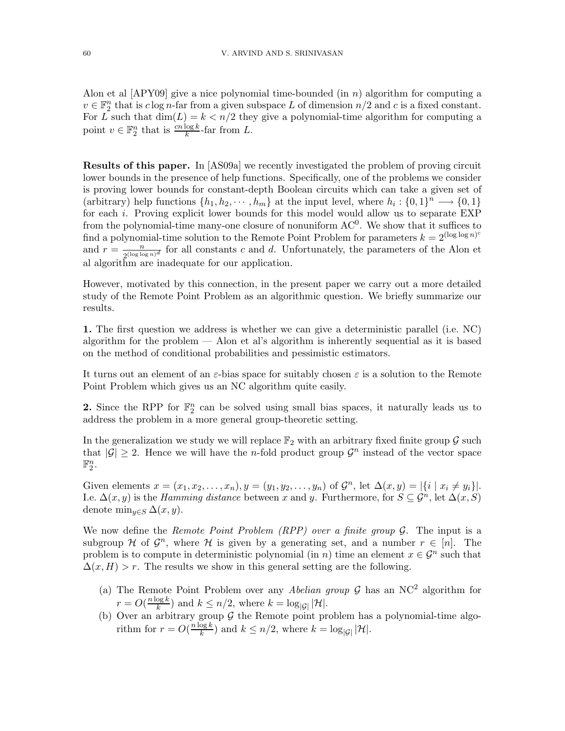Alon et al  $[APY09]$  give a nice polynomial time-bounded (in n) algorithm for computing a  $v \in \mathbb{F}_2^n$  that is  $c \log n$ -far from a given subspace L of dimension  $n/2$  and c is a fixed constant. For L such that  $\dim(L) = k < n/2$  they give a polynomial-time algorithm for computing a point  $v \in \mathbb{F}_2^n$  that is  $\frac{cn \log k}{k}$ -far from L.

Results of this paper. In [AS09a] we recently investigated the problem of proving circuit lower bounds in the presence of help functions. Specifically, one of the problems we consider is proving lower bounds for constant-depth Boolean circuits which can take a given set of (arbitrary) help functions  $\{h_1, h_2, \cdots, h_m\}$  at the input level, where  $h_i: \{0, 1\}^n \longrightarrow \{0, 1\}$ for each i. Proving explicit lower bounds for this model would allow us to separate EXP from the polynomial-time many-one closure of nonuniform  $AC^0$ . We show that it suffices to find a polynomial-time solution to the Remote Point Problem for parameters  $k = 2^{(\log \log n)^c}$ and  $r = \frac{n}{2^{(\log \log n)^d}}$  for all constants c and d. Unfortunately, the parameters of the Alon et al algorithm are inadequate for our application.

However, motivated by this connection, in the present paper we carry out a more detailed study of the Remote Point Problem as an algorithmic question. We briefly summarize our results.

1. The first question we address is whether we can give a deterministic parallel (i.e. NC) algorithm for the problem — Alon et al's algorithm is inherently sequential as it is based on the method of conditional probabilities and pessimistic estimators.

It turns out an element of an  $\varepsilon$ -bias space for suitably chosen  $\varepsilon$  is a solution to the Remote Point Problem which gives us an NC algorithm quite easily.

2. Since the RPP for  $\mathbb{F}_2^n$  can be solved using small bias spaces, it naturally leads us to address the problem in a more general group-theoretic setting.

In the generalization we study we will replace  $\mathbb{F}_2$  with an arbitrary fixed finite group  $\mathcal G$  such that  $|\mathcal{G}| \geq 2$ . Hence we will have the *n*-fold product group  $\mathcal{G}^n$  instead of the vector space  $\mathbb{F}_2^n$ .

Given elements  $x = (x_1, x_2, \dots, x_n), y = (y_1, y_2, \dots, y_n)$  of  $\mathcal{G}^n$ , let  $\Delta(x, y) = |\{i \mid x_i \neq y_i\}|$ . I.e.  $\Delta(x, y)$  is the *Hamming distance* between x and y. Furthermore, for  $S \subseteq \mathcal{G}^n$ , let  $\Delta(x, S)$ denote min<sub>y∈S</sub>  $\Delta(x, y)$ .

We now define the Remote Point Problem (RPP) over a finite group  $G$ . The input is a subgroup H of  $\mathcal{G}^n$ , where H is given by a generating set, and a number  $r \in [n]$ . The problem is to compute in deterministic polynomial (in n) time an element  $x \in \mathcal{G}^n$  such that  $\Delta(x, H) > r$ . The results we show in this general setting are the following.

- (a) The Remote Point Problem over any Abelian group  $\mathcal G$  has an NC<sup>2</sup> algorithm for  $r = O(\frac{n \log k}{k})$  $\frac{\log k}{k}$ ) and  $k \leq n/2$ , where  $k = \log_{|\mathcal{G}|} |\mathcal{H}|$ .
- (b) Over an arbitrary group  $G$  the Remote point problem has a polynomial-time algorithm for  $r = O(\frac{n \log k}{k})$  $\frac{\log \kappa}{k}$ ) and  $k \leq n/2$ , where  $k = \log_{|\mathcal{G}|} |\mathcal{H}|$ .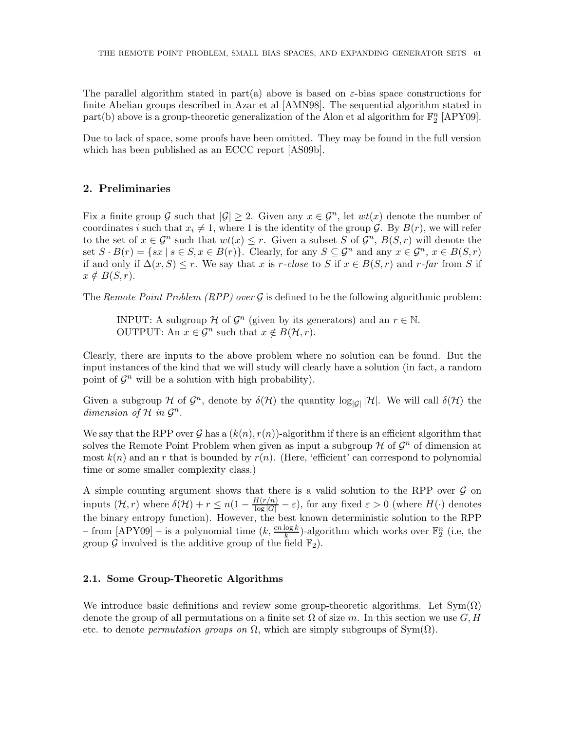The parallel algorithm stated in part(a) above is based on  $\varepsilon$ -bias space constructions for finite Abelian groups described in Azar et al [AMN98]. The sequential algorithm stated in part(b) above is a group-theoretic generalization of the Alon et al algorithm for  $\mathbb{F}_2^n$  [APY09].

Due to lack of space, some proofs have been omitted. They may be found in the full version which has been published as an ECCC report [AS09b].

# 2. Preliminaries

Fix a finite group G such that  $|\mathcal{G}| \geq 2$ . Given any  $x \in \mathcal{G}^n$ , let  $wt(x)$  denote the number of coordinates i such that  $x_i \neq 1$ , where 1 is the identity of the group G. By  $B(r)$ , we will refer to the set of  $x \in \mathcal{G}^n$  such that  $wt(x) \leq r$ . Given a subset S of  $\mathcal{G}^n$ ,  $B(S, r)$  will denote the set  $S \cdot B(r) = \{sx \mid s \in S, x \in B(r)\}\.$  Clearly, for any  $S \subseteq \mathcal{G}^n$  and any  $x \in \mathcal{G}^n$ ,  $x \in B(S, r)$ if and only if  $\Delta(x, S) \leq r$ . We say that x is r-close to S if  $x \in B(S, r)$  and r-far from S if  $x \notin B(S, r)$ .

The Remote Point Problem (RPP) over  $\mathcal G$  is defined to be the following algorithmic problem:

INPUT: A subgroup  $\mathcal H$  of  $\mathcal G^n$  (given by its generators) and an  $r \in \mathbb N$ . OUTPUT: An  $x \in \mathcal{G}^n$  such that  $x \notin B(\mathcal{H}, r)$ .

Clearly, there are inputs to the above problem where no solution can be found. But the input instances of the kind that we will study will clearly have a solution (in fact, a random point of  $\mathcal{G}^n$  will be a solution with high probability).

Given a subgroup  $\mathcal H$  of  $\mathcal G^n$ , denote by  $\delta(\mathcal H)$  the quantity  $\log_{|\mathcal G|}|\mathcal H|$ . We will call  $\delta(\mathcal H)$  the dimension of  $\mathcal H$  in  $\mathcal G^n$ .

We say that the RPP over  $G$  has a  $(k(n), r(n))$ -algorithm if there is an efficient algorithm that solves the Remote Point Problem when given as input a subgroup  $\mathcal H$  of  $\mathcal G^n$  of dimension at most  $k(n)$  and an r that is bounded by  $r(n)$ . (Here, 'efficient' can correspond to polynomial time or some smaller complexity class.)

A simple counting argument shows that there is a valid solution to the RPP over  $\mathcal G$  on inputs  $(\mathcal{H}, r)$  where  $\delta(\mathcal{H}) + r \leq n(1 - \frac{H(r/n)}{\log |G|} - \varepsilon)$ , for any fixed  $\varepsilon > 0$  (where  $H(\cdot)$  denotes the binary entropy function). However, the best known deterministic solution to the RPP - from  $[APY09]$  - is a polynomial time  $(k, \frac{cn \log k}{k})$ -algorithm which works over  $\mathbb{F}_2^n$  (i.e, the group  $\mathcal G$  involved is the additive group of the field  $\mathbb F_2$ ).

## 2.1. Some Group-Theoretic Algorithms

We introduce basic definitions and review some group-theoretic algorithms. Let  $Sym(\Omega)$ denote the group of all permutations on a finite set  $\Omega$  of size m. In this section we use  $G, H$ etc. to denote *permutation groups on*  $\Omega$ , which are simply subgroups of Sym( $\Omega$ ).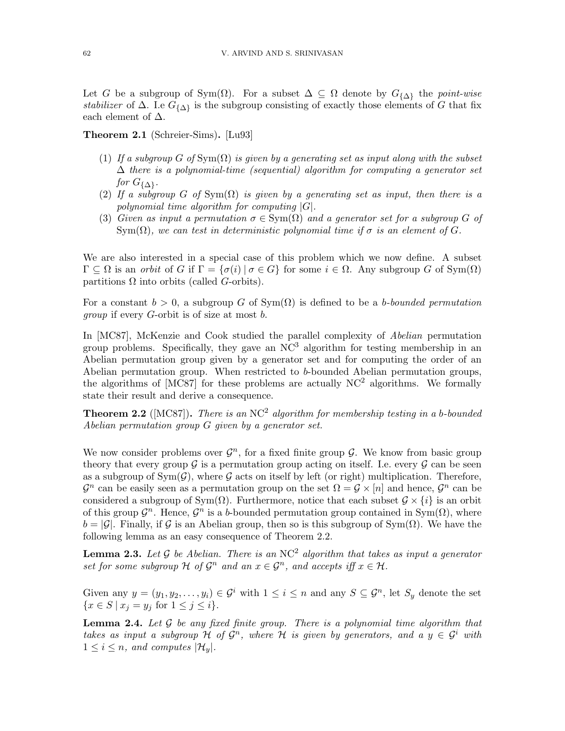Let G be a subgroup of Sym( $\Omega$ ). For a subset  $\Delta \subseteq \Omega$  denote by  $G_{\{\Delta\}}$  the point-wise stabilizer of  $\Delta$ . I.e  $G_{\{\Delta\}}$  is the subgroup consisting of exactly those elements of G that fix each element of  $\Delta$ .

Theorem 2.1 (Schreier-Sims). [Lu93]

- (1) If a subgroup G of  $Sym(\Omega)$  is given by a generating set as input along with the subset  $\Delta$  there is a polynomial-time (sequential) algorithm for computing a generator set for  $G_{\{\Delta\}}$ .
- (2) If a subgroup G of  $Sym(\Omega)$  is given by a generating set as input, then there is a polynomial time algorithm for computing  $|G|$ .
- (3) Given as input a permutation  $\sigma \in \text{Sym}(\Omega)$  and a generator set for a subgroup G of  $Sym(\Omega)$ , we can test in deterministic polynomial time if  $\sigma$  is an element of G.

We are also interested in a special case of this problem which we now define. A subset  $\Gamma \subseteq \Omega$  is an orbit of G if  $\Gamma = {\{\sigma(i) | \sigma \in G\}}$  for some  $i \in \Omega$ . Any subgroup G of  $Sym(\Omega)$ partitions  $\Omega$  into orbits (called G-orbits).

For a constant  $b > 0$ , a subgroup G of  $Sym(\Omega)$  is defined to be a b-bounded permutation group if every G-orbit is of size at most b.

In [MC87], McKenzie and Cook studied the parallel complexity of Abelian permutation group problems. Specifically, they gave an  $NC<sup>3</sup>$  algorithm for testing membership in an Abelian permutation group given by a generator set and for computing the order of an Abelian permutation group. When restricted to b-bounded Abelian permutation groups, the algorithms of [MC87] for these problems are actually  $NC^2$  algorithms. We formally state their result and derive a consequence.

**Theorem 2.2** ([MC87]). There is an NC<sup>2</sup> algorithm for membership testing in a b-bounded Abelian permutation group G given by a generator set.

We now consider problems over  $\mathcal{G}^n$ , for a fixed finite group  $\mathcal{G}$ . We know from basic group theory that every group  $\mathcal G$  is a permutation group acting on itself. I.e. every  $\mathcal G$  can be seen as a subgroup of  $Sym(\mathcal{G})$ , where  $\mathcal G$  acts on itself by left (or right) multiplication. Therefore,  $\mathcal{G}^n$  can be easily seen as a permutation group on the set  $\Omega = \mathcal{G} \times [n]$  and hence,  $\mathcal{G}^n$  can be considered a subgroup of Sym( $\Omega$ ). Furthermore, notice that each subset  $\mathcal{G} \times \{i\}$  is an orbit of this group  $\mathcal{G}^n$ . Hence,  $\mathcal{G}^n$  is a b-bounded permutation group contained in Sym $(\Omega)$ , where  $b = |\mathcal{G}|$ . Finally, if  $\mathcal{G}$  is an Abelian group, then so is this subgroup of Sym( $\Omega$ ). We have the following lemma as an easy consequence of Theorem 2.2.

**Lemma 2.3.** Let G be Abelian. There is an NC<sup>2</sup> algorithm that takes as input a generator set for some subgroup  $\mathcal H$  of  $\mathcal G^n$  and an  $x \in \mathcal G^n$ , and accepts iff  $x \in \mathcal H$ .

Given any  $y = (y_1, y_2, \dots, y_i) \in \mathcal{G}^i$  with  $1 \leq i \leq n$  and any  $S \subseteq \mathcal{G}^n$ , let  $S_y$  denote the set  ${x \in S | x_i = y_j \text{ for } 1 \leq j \leq i}.$ 

**Lemma 2.4.** Let  $\mathcal G$  be any fixed finite group. There is a polynomial time algorithm that takes as input a subgroup  $H$  of  $G^n$ , where  $H$  is given by generators, and a  $y \in G^i$  with  $1 \leq i \leq n$ , and computes  $|\mathcal{H}_u|$ .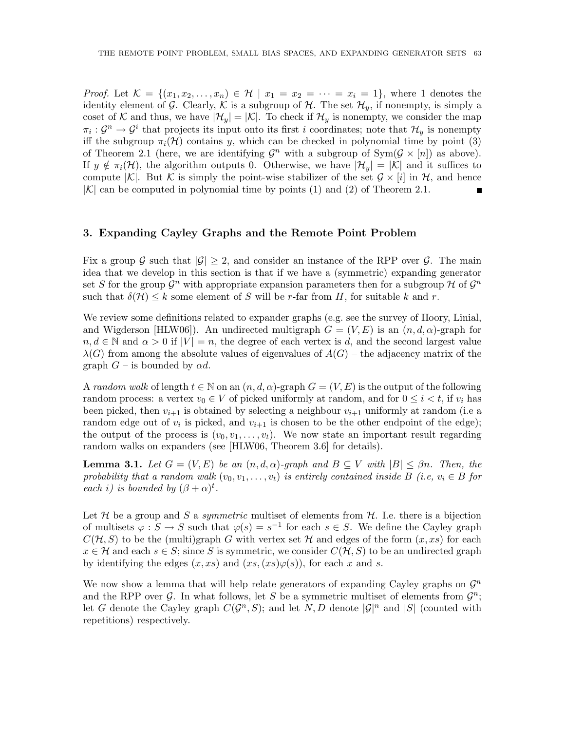*Proof.* Let  $\mathcal{K} = \{(x_1, x_2, \ldots, x_n) \in \mathcal{H} \mid x_1 = x_2 = \cdots = x_i = 1\}$ , where 1 denotes the identity element of G. Clearly, K is a subgroup of H. The set  $\mathcal{H}_y$ , if nonempty, is simply a coset of K and thus, we have  $|\mathcal{H}_y| = |\mathcal{K}|$ . To check if  $\mathcal{H}_y$  is nonempty, we consider the map  $\pi_i: \mathcal{G}^n \to \mathcal{G}^i$  that projects its input onto its first i coordinates; note that  $\mathcal{H}_y$  is nonempty iff the subgroup  $\pi_i(\mathcal{H})$  contains y, which can be checked in polynomial time by point (3) of Theorem 2.1 (here, we are identifying  $\mathcal{G}^n$  with a subgroup of  $\text{Sym}(\mathcal{G} \times [n])$  as above). If  $y \notin \pi_i(\mathcal{H})$ , the algorithm outputs 0. Otherwise, we have  $|\mathcal{H}_y| = |\mathcal{K}|$  and it suffices to compute |K|. But K is simply the point-wise stabilizer of the set  $\mathcal{G} \times [i]$  in  $\mathcal{H}$ , and hence  $|K|$  can be computed in polynomial time by points (1) and (2) of Theorem 2.1.

#### 3. Expanding Cayley Graphs and the Remote Point Problem

Fix a group G such that  $|\mathcal{G}| \geq 2$ , and consider an instance of the RPP over G. The main idea that we develop in this section is that if we have a (symmetric) expanding generator set S for the group  $\mathcal{G}^n$  with appropriate expansion parameters then for a subgroup H of  $\mathcal{G}^n$ such that  $\delta(\mathcal{H}) \leq k$  some element of S will be r-far from H, for suitable k and r.

We review some definitions related to expander graphs (e.g. see the survey of Hoory, Linial, and Wigderson [HLW06]). An undirected multigraph  $G = (V, E)$  is an  $(n, d, \alpha)$ -graph for  $n, d \in \mathbb{N}$  and  $\alpha > 0$  if  $|V| = n$ , the degree of each vertex is d, and the second largest value  $\lambda(G)$  from among the absolute values of eigenvalues of  $A(G)$  – the adjacency matrix of the graph  $G$  – is bounded by  $\alpha d$ .

A random walk of length  $t \in \mathbb{N}$  on an  $(n, d, \alpha)$ -graph  $G = (V, E)$  is the output of the following random process: a vertex  $v_0 \in V$  of picked uniformly at random, and for  $0 \le i \le t$ , if  $v_i$  has been picked, then  $v_{i+1}$  is obtained by selecting a neighbour  $v_{i+1}$  uniformly at random (i.e a random edge out of  $v_i$  is picked, and  $v_{i+1}$  is chosen to be the other endpoint of the edge); the output of the process is  $(v_0, v_1, \ldots, v_t)$ . We now state an important result regarding random walks on expanders (see [HLW06, Theorem 3.6] for details).

**Lemma 3.1.** Let  $G = (V, E)$  be an  $(n, d, \alpha)$ -graph and  $B \subseteq V$  with  $|B| \leq \beta n$ . Then, the probability that a random walk  $(v_0, v_1, \ldots, v_t)$  is entirely contained inside B (i.e,  $v_i \in B$  for each i) is bounded by  $(\beta + \alpha)^t$ .

Let  $\mathcal H$  be a group and S a *symmetric* multiset of elements from  $\mathcal H$ . I.e. there is a bijection of multisets  $\varphi : S \to S$  such that  $\varphi(s) = s^{-1}$  for each  $s \in S$ . We define the Cayley graph  $C(\mathcal{H}, S)$  to be the (multi)graph G with vertex set H and edges of the form  $(x, xs)$  for each  $x \in \mathcal{H}$  and each  $s \in S$ ; since S is symmetric, we consider  $C(\mathcal{H}, S)$  to be an undirected graph by identifying the edges  $(x, xs)$  and  $(xs, (xs)\varphi(s))$ , for each x and s.

We now show a lemma that will help relate generators of expanding Cayley graphs on  $\mathcal{G}^n$ and the RPP over  $G$ . In what follows, let S be a symmetric multiset of elements from  $G^n$ ; let G denote the Cayley graph  $C(\mathcal{G}^n, S)$ ; and let N, D denote  $|\mathcal{G}|^n$  and  $|S|$  (counted with repetitions) respectively.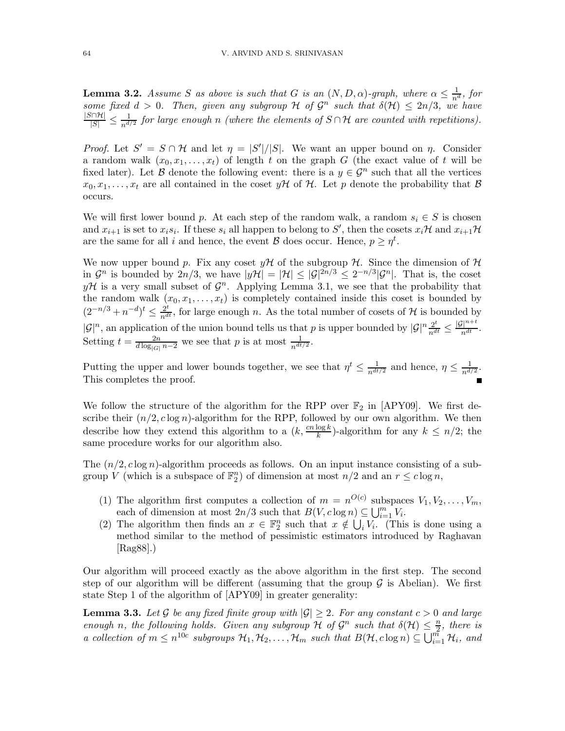**Lemma 3.2.** Assume S as above is such that G is an  $(N, D, \alpha)$ -graph, where  $\alpha \leq \frac{1}{n^d}$ , for **Definite 3.2.** Assume B as above is such that G is an  $(N, D, \alpha)$ -graph, ancre  $\alpha \leq \frac{1}{n^d}$ , for some fixed  $d > 0$ . Then, given any subgroup H of  $\mathcal{G}^n$  such that  $\delta(\mathcal{H}) \leq 2n/3$ , we have  $\frac{|S\cap \mathcal{H}|}{|S|}\leq \frac{1}{n^{d_\mathcal{H}}}$  $\frac{1}{n^{d/2}}$  for large enough n (where the elements of  $S \cap \mathcal{H}$  are counted with repetitions).

*Proof.* Let  $S' = S \cap \mathcal{H}$  and let  $\eta = |S'|/|S|$ . We want an upper bound on  $\eta$ . Consider a random walk  $(x_0, x_1, \ldots, x_t)$  of length t on the graph G (the exact value of t will be fixed later). Let B denote the following event: there is a  $y \in \mathcal{G}^n$  such that all the vertices  $x_0, x_1, \ldots, x_t$  are all contained in the coset  $y\mathcal{H}$  of  $\mathcal{H}$ . Let p denote the probability that  $\mathcal{B}$ occurs.

We will first lower bound p. At each step of the random walk, a random  $s_i \in S$  is chosen and  $x_{i+1}$  is set to  $x_i s_i$ . If these  $s_i$  all happen to belong to S', then the cosets  $x_i$ H and  $x_{i+1}$ H are the same for all i and hence, the event  $\mathcal B$  does occur. Hence,  $p \geq \eta^t$ .

We now upper bound p. Fix any coset  $\psi\mathcal{H}$  of the subgroup  $\mathcal{H}$ . Since the dimension of  $\mathcal{H}$ in  $\mathcal{G}^n$  is bounded by  $2n/3$ , we have  $|y\mathcal{H}| = |\mathcal{H}| \leq |\mathcal{G}|^{2n/3} \leq 2^{-n/3}|\mathcal{G}^n|$ . That is, the coset  $y\mathcal{H}$  is a very small subset of  $\mathcal{G}^n$ . Applying Lemma 3.1, we see that the probability that the random walk  $(x_0, x_1, \ldots, x_t)$  is completely contained inside this coset is bounded by  $(2^{-n/3} + n^{-d})^t \leq \frac{2^t}{n^{dt}}$ , for large enough n. As the total number of cosets of H is bounded by  $|\mathcal{G}|^n$ , an application of the union bound tells us that p is upper bounded by  $|\mathcal{G}|^n \frac{2^t}{n^{dt}} \leq \frac{|\mathcal{G}|^{n+t}}{n^{dt}}$ . Setting  $t = \frac{2n}{d \log_{|G|} n - 2}$  we see that p is at most  $\frac{1}{n^{dt/2}}$ .

Putting the upper and lower bounds together, we see that  $\eta^t \leq \frac{1}{n^{dt/2}}$  and hence,  $\eta \leq \frac{1}{n^{d}}$  $\frac{1}{n^{d/2}}$ . This completes the proof.

We follow the structure of the algorithm for the RPP over  $\mathbb{F}_2$  in [APY09]. We first describe their  $(n/2, c \log n)$ -algorithm for the RPP, followed by our own algorithm. We then describe how they extend this algorithm to a  $(k, \frac{cn \log k}{k})$ -algorithm for any  $k \leq n/2$ ; the same procedure works for our algorithm also.

The  $(n/2, c \log n)$ -algorithm proceeds as follows. On an input instance consisting of a subgroup V (which is a subspace of  $\mathbb{F}_2^n$ ) of dimension at most  $n/2$  and an  $r \leq c \log n$ ,

- (1) The algorithm first computes a collection of  $m = n^{O(c)}$  subspaces  $V_1, V_2, \ldots, V_m$ , each of dimension at most  $2n/3$  such that  $B(V, c \log n) \subseteq \bigcup_{i=1}^{m} V_i$ .
- (2) The algorithm then finds an  $x \in \mathbb{F}_2^n$  such that  $x \notin \bigcup_i V_i$ . (This is done using a method similar to the method of pessimistic estimators introduced by Raghavan [Rag88].)

Our algorithm will proceed exactly as the above algorithm in the first step. The second step of our algorithm will be different (assuming that the group  $\mathcal G$  is Abelian). We first state Step 1 of the algorithm of [APY09] in greater generality:

**Lemma 3.3.** Let G be any fixed finite group with  $|\mathcal{G}| \geq 2$ . For any constant  $c > 0$  and large enough n, the following holds. Given any subgroup  $\mathcal H$  of  $\mathcal G^n$  such that  $\delta(\mathcal H) \leq \frac{n}{2}$  $\frac{n}{2}$ , there is a collection of  $m \leq n^{10c}$  subgroups  $\mathcal{H}_1, \mathcal{H}_2, \ldots, \mathcal{H}_m$  such that  $B(\mathcal{H}, c \log n) \subseteq \bigcup_{i=1}^{m} \mathcal{H}_i$ , and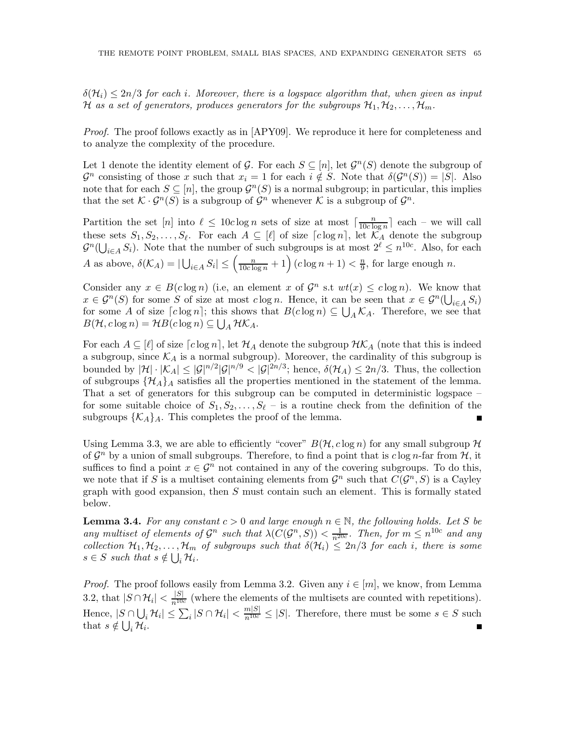$\delta(\mathcal{H}_i) \leq 2n/3$  for each i. Moreover, there is a logspace algorithm that, when given as input H as a set of generators, produces generators for the subgroups  $\mathcal{H}_1, \mathcal{H}_2, \ldots, \mathcal{H}_m$ .

Proof. The proof follows exactly as in [APY09]. We reproduce it here for completeness and to analyze the complexity of the procedure.

Let 1 denote the identity element of G. For each  $S \subseteq [n]$ , let  $\mathcal{G}^n(S)$  denote the subgroup of  $\mathcal{G}^n$  consisting of those x such that  $x_i = 1$  for each  $i \notin S$ . Note that  $\delta(\mathcal{G}^n(S)) = |S|$ . Also note that for each  $S \subseteq [n]$ , the group  $\mathcal{G}^n(S)$  is a normal subgroup; in particular, this implies that the set  $\mathcal{K} \cdot \mathcal{G}^n(S)$  is a subgroup of  $\mathcal{G}^n$  whenever  $\mathcal{K}$  is a subgroup of  $\mathcal{G}^n$ .

Partition the set [n] into  $\ell \leq 10c \log n$  sets of size at most  $\lceil \frac{n}{10c \log n} \rceil$  $\frac{n}{10c \log n}$  each – we will call these sets  $S_1, S_2, \ldots, S_\ell$ . For each  $A \subseteq [\ell]$  of size  $\lceil c \log n \rceil$ , let  $\mathcal{K}_A$  denote the subgroup  $\mathcal{G}^n(\bigcup_{i\in A} S_i)$ . Note that the number of such subgroups is at most  $2^{\ell} \leq n^{10c}$ . Also, for each A as above,  $\delta(\mathcal{K}_A) = |\bigcup_{i \in A} S_i| \leq \left(\frac{n}{10c \log n} + 1\right) (c \log n + 1) < \frac{n}{9}$  $\frac{n}{9}$ , for large enough *n*.

Consider any  $x \in B(c \log n)$  (i.e, an element x of  $\mathcal{G}^n$  s.t  $wt(x) \leq c \log n$ ). We know that  $x \in \mathcal{G}^n(S)$  for some S of size at most  $c \log n$ . Hence, it can be seen that  $x \in \mathcal{G}^n(\bigcup_{i \in A} S_i)$ for some A of size  $[c \log n]$ ; this shows that  $B(c \log n) \subseteq \bigcup_{A} \mathcal{K}_{A}$ . Therefore, we see that  $B(\mathcal{H}, c \log n) = \mathcal{H}B(c \log n) \subseteq \bigcup_A \mathcal{H}K_A.$ 

For each  $A \subseteq [\ell]$  of size  $[c \log n]$ , let  $\mathcal{H}_A$  denote the subgroup  $\mathcal{HK}_A$  (note that this is indeed a subgroup, since  $\mathcal{K}_A$  is a normal subgroup). Moreover, the cardinality of this subgroup is bounded by  $|\mathcal{H}| \cdot |\mathcal{K}_A| \leq |\mathcal{G}|^{n/2} |\mathcal{G}|^{n/9} < |\mathcal{G}|^{2n/3}$ ; hence,  $\delta(\mathcal{H}_A) \leq 2n/3$ . Thus, the collection of subgroups  $\{\mathcal{H}_A\}_A$  satisfies all the properties mentioned in the statement of the lemma. That a set of generators for this subgroup can be computed in deterministic logspace – for some suitable choice of  $S_1, S_2, \ldots, S_\ell$  – is a routine check from the definition of the subgroups  $\{\mathcal{K}_A\}_A$ . This completes the proof of the lemma.

Using Lemma 3.3, we are able to efficiently "cover"  $B(\mathcal{H}, c \log n)$  for any small subgroup  $\mathcal H$ of  $\mathcal{G}^n$  by a union of small subgroups. Therefore, to find a point that is  $c \log n$ -far from  $\mathcal{H}$ , it suffices to find a point  $x \in \mathcal{G}^n$  not contained in any of the covering subgroups. To do this, we note that if S is a multiset containing elements from  $\mathcal{G}^n$  such that  $C(\mathcal{G}^n, S)$  is a Cayley graph with good expansion, then  $S$  must contain such an element. This is formally stated below.

**Lemma 3.4.** For any constant  $c > 0$  and large enough  $n \in \mathbb{N}$ , the following holds. Let S be any multiset of elements of  $\mathcal{G}^n$  such that  $\lambda(C(\mathcal{G}^n, S)) < \frac{1}{n^{20c}}$ . Then, for  $m \leq n^{10c}$  and any collection  $\mathcal{H}_1, \mathcal{H}_2, \ldots, \mathcal{H}_m$  of subgroups such that  $\delta(\mathcal{H}_i) \leq 2n/3$  for each i, there is some  $s \in S$  such that  $s \notin \bigcup_i \mathcal{H}_i$ .

*Proof.* The proof follows easily from Lemma 3.2. Given any  $i \in [m]$ , we know, from Lemma 3.2, that  $|S \cap \mathcal{H}_i| < \frac{|S|}{n^{10c}}$  (where the elements of the multisets are counted with repetitions). Hence,  $|S \cap \bigcup_i \mathcal{H}_i| \leq \sum_i |S \cap \mathcal{H}_i| < \frac{m|S|}{n^{10c}} \leq |S|$ . Therefore, there must be some  $s \in S$  such that  $s \notin \bigcup_i \mathcal{H}_i$ .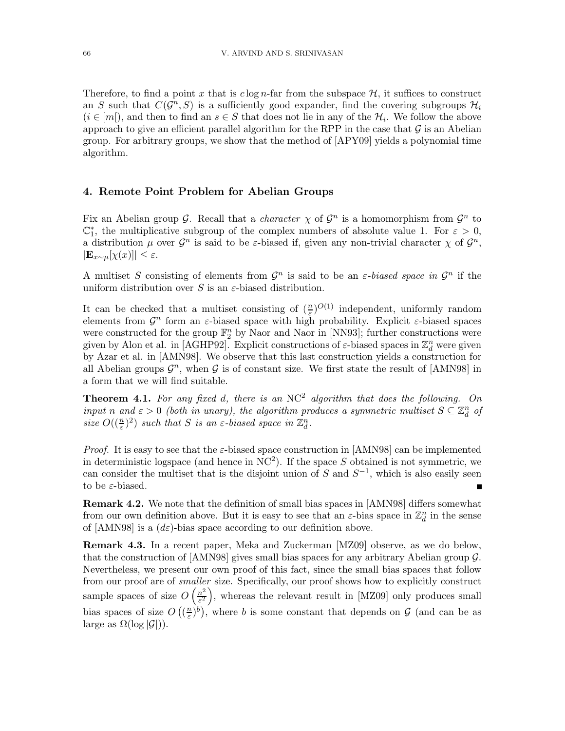Therefore, to find a point x that is  $c \log n$ -far from the subspace  $\mathcal{H}$ , it suffices to construct an S such that  $C(G^n, S)$  is a sufficiently good expander, find the covering subgroups  $\mathcal{H}_i$  $(i \in [m])$ , and then to find an  $s \in S$  that does not lie in any of the  $\mathcal{H}_i$ . We follow the above approach to give an efficient parallel algorithm for the RPP in the case that  $\mathcal G$  is an Abelian group. For arbitrary groups, we show that the method of [APY09] yields a polynomial time algorithm.

#### 4. Remote Point Problem for Abelian Groups

Fix an Abelian group  $\mathcal G$ . Recall that a *character*  $\chi$  of  $\mathcal G^n$  is a homomorphism from  $\mathcal G^n$  to  $\mathbb{C}_1^*$ , the multiplicative subgroup of the complex numbers of absolute value 1. For  $\varepsilon > 0$ , a distribution  $\mu$  over  $\mathcal{G}^n$  is said to be  $\varepsilon$ -biased if, given any non-trivial character  $\chi$  of  $\mathcal{G}^n$ ,  $|\mathbf{E}_{x\sim \mu}[\chi(x)]| \leq \varepsilon.$ 

A multiset S consisting of elements from  $\mathcal{G}^n$  is said to be an  $\varepsilon$ -biased space in  $\mathcal{G}^n$  if the uniform distribution over S is an  $\varepsilon$ -biased distribution.

It can be checked that a multiset consisting of  $(\frac{n}{\varepsilon})^{O(1)}$  independent, uniformly random elements from  $\mathcal{G}^n$  form an  $\varepsilon$ -biased space with high probability. Explicit  $\varepsilon$ -biased spaces were constructed for the group  $\mathbb{F}_2^n$  by Naor and Naor in [NN93]; further constructions were given by Alon et al. in [AGHP92]. Explicit constructions of  $\varepsilon$ -biased spaces in  $\mathbb{Z}_d^n$  were given by Azar et al. in [AMN98]. We observe that this last construction yields a construction for all Abelian groups  $\mathcal{G}^n$ , when  $\mathcal G$  is of constant size. We first state the result of [AMN98] in a form that we will find suitable.

**Theorem 4.1.** For any fixed d, there is an  $NC^2$  algorithm that does the following. On input n and  $\varepsilon > 0$  (both in unary), the algorithm produces a symmetric multiset  $S \subseteq \mathbb{Z}_d^n$  of size  $O((\frac{n}{\varepsilon})^2)$  such that S is an  $\varepsilon$ -biased space in  $\mathbb{Z}_d^n$ .

*Proof.* It is easy to see that the  $\varepsilon$ -biased space construction in [AMN98] can be implemented in deterministic logspace (and hence in  $NC<sup>2</sup>$ ). If the space S obtained is not symmetric, we can consider the multiset that is the disjoint union of S and  $S^{-1}$ , which is also easily seen to be ε-biased.

Remark 4.2. We note that the definition of small bias spaces in [AMN98] differs somewhat from our own definition above. But it is easy to see that an  $\varepsilon$ -bias space in  $\mathbb{Z}_d^n$  in the sense of [AMN98] is a  $(d\varepsilon)$ -bias space according to our definition above.

Remark 4.3. In a recent paper, Meka and Zuckerman [MZ09] observe, as we do below, that the construction of [AMN98] gives small bias spaces for any arbitrary Abelian group G. Nevertheless, we present our own proof of this fact, since the small bias spaces that follow from our proof are of smaller size. Specifically, our proof shows how to explicitly construct sample spaces of size  $O\left(\frac{n^2}{s^2}\right)$  $\left(\frac{n^2}{\varepsilon^2}\right)$ , whereas the relevant result in [MZ09] only produces small bias spaces of size  $O\left(\left(\frac{n}{\varepsilon}\right)\right)$  $(\frac{n}{\varepsilon})^b$ ), where b is some constant that depends on G (and can be as large as  $\Omega(\log |\mathcal{G}|)$ .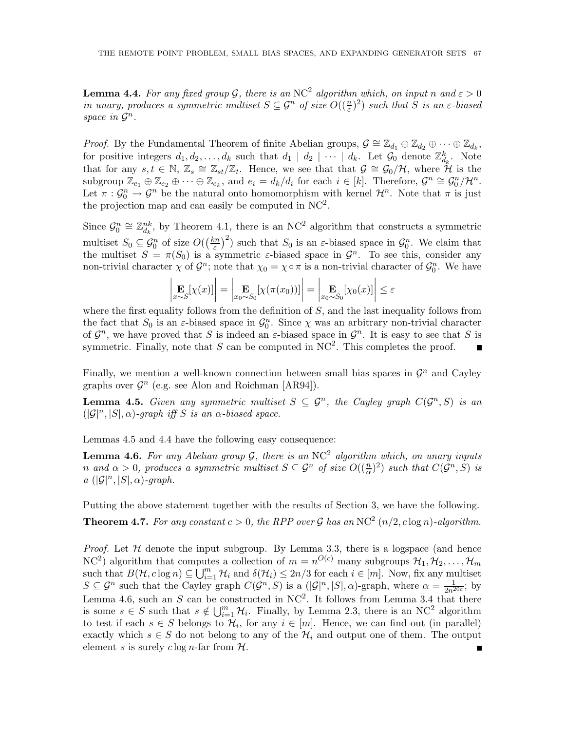**Lemma 4.4.** For any fixed group G, there is an NC<sup>2</sup> algorithm which, on input n and  $\varepsilon > 0$ in unary, produces a symmetric multiset  $S \subseteq \mathcal{G}^n$  of size  $O((\frac{n}{\varepsilon})^2)$  such that S is an  $\varepsilon$ -biased space in  $\mathcal{G}^n$ .

*Proof.* By the Fundamental Theorem of finite Abelian groups,  $\mathcal{G} \cong \mathbb{Z}_{d_1} \oplus \mathbb{Z}_{d_2} \oplus \cdots \oplus \mathbb{Z}_{d_k}$ , for positive integers  $d_1, d_2, \ldots, d_k$  such that  $d_1 \mid d_2 \mid \cdots \mid d_k$ . Let  $\mathcal{G}_0$  denote  $\mathbb{Z}_{d_k}^k$ . Note that for any  $s, t \in \mathbb{N}, Z_s \cong \mathbb{Z}_{st}/\mathbb{Z}_t$ . Hence, we see that that  $\mathcal{G} \cong \mathcal{G}_0/\mathcal{H}$ , where  $\mathcal{H}$  is the subgroup  $\mathbb{Z}_{e_1} \oplus \mathbb{Z}_{e_2} \oplus \cdots \oplus \mathbb{Z}_{e_k}$ , and  $e_i = d_k/d_i$  for each  $i \in [k]$ . Therefore,  $\mathcal{G}^n \cong \mathcal{G}_0^n/\mathcal{H}^n$ . Let  $\pi: \mathcal{G}_0^n \to \mathcal{G}^n$  be the natural onto homomorphism with kernel  $\mathcal{H}^n$ . Note that  $\pi$  is just the projection map and can easily be computed in  $NC^2$ .

Since  $\mathcal{G}_0^n \cong \mathbb{Z}_{d_k}^{nk}$ , by Theorem 4.1, there is an NC<sup>2</sup> algorithm that constructs a symmetric multiset  $S_0 \subseteq \mathcal{G}_0^n$  of size  $O(\left(\frac{kn}{\varepsilon}\right))$  $\left(\frac{cn}{\varepsilon}\right)^2$  such that  $S_0$  is an  $\varepsilon$ -biased space in  $\mathcal{G}_0^n$ . We claim that the multiset  $S = \pi(S_0)$  is a symmetric  $\varepsilon$ -biased space in  $\mathcal{G}^n$ . To see this, consider any non-trivial character  $\chi$  of  $\mathcal{G}^n$ ; note that  $\chi_0 = \chi \circ \pi$  is a non-trivial character of  $\mathcal{G}_0^n$ . We have

$$
\left|\mathop{\mathbf{E}}_{x \sim S}[\chi(x)]\right| = \left|\mathop{\mathbf{E}}_{x_0 \sim S_0}[\chi(\pi(x_0))] \right| = \left|\mathop{\mathbf{E}}_{x_0 \sim S_0}[\chi_0(x)]\right| \le \varepsilon
$$

where the first equality follows from the definition of  $S$ , and the last inequality follows from the fact that  $S_0$  is an  $\varepsilon$ -biased space in  $\mathcal{G}_0^n$ . Since  $\chi$  was an arbitrary non-trivial character of  $\mathcal{G}^n$ , we have proved that S is indeed an  $\varepsilon$ -biased space in  $\mathcal{G}^n$ . It is easy to see that S is symmetric. Finally, note that S can be computed in  $NC^2$ . This completes the proof.  $\blacksquare$ 

Finally, we mention a well-known connection between small bias spaces in  $\mathcal{G}^n$  and Cayley graphs over  $\mathcal{G}^n$  (e.g. see Alon and Roichman [AR94]).

**Lemma 4.5.** Given any symmetric multiset  $S \subseteq \mathcal{G}^n$ , the Cayley graph  $C(\mathcal{G}^n, S)$  is an  $(|\mathcal{G}|^n, |S|, \alpha)$ -graph iff S is an  $\alpha$ -biased space.

Lemmas 4.5 and 4.4 have the following easy consequence:

**Lemma 4.6.** For any Abelian group  $G$ , there is an NC<sup>2</sup> algorithm which, on unary inputs n and  $\alpha > 0$ , produces a symmetric multiset  $S \subseteq \mathcal{G}^n$  of size  $O((\frac{n}{\alpha})^2)$  such that  $C(\mathcal{G}^n, S)$  is  $a\ (|\mathcal{G}|^n, |S|, \alpha)$ -graph.

Putting the above statement together with the results of Section 3, we have the following. **Theorem 4.7.** For any constant  $c > 0$ , the RPP over  $\mathcal G$  has an NC<sup>2</sup>  $(n/2, c \log n)$ -algorithm.

*Proof.* Let  $H$  denote the input subgroup. By Lemma 3.3, there is a logspace (and hence NC<sup>2</sup>) algorithm that computes a collection of  $m = n^{O(c)}$  many subgroups  $\mathcal{H}_1, \mathcal{H}_2, \ldots, \mathcal{H}_m$ such that  $B(\mathcal{H}, c \log n) \subseteq \bigcup_{i=1}^m \mathcal{H}_i$  and  $\delta(\mathcal{H}_i) \leq 2n/3$  for each  $i \in [m]$ . Now, fix any multiset  $S \subseteq \mathcal{G}^n$  such that the Cayley graph  $C(\mathcal{G}^n, S)$  is a  $(|\mathcal{G}|^n, |S|, \alpha)$ -graph, where  $\alpha = \frac{1}{2n^{20c}}$ ; by Lemma 4.6, such an S can be constructed in  $NC^2$ . It follows from Lemma 3.4 that there is some  $s \in S$  such that  $s \notin \bigcup_{i=1}^m \mathcal{H}_i$ . Finally, by Lemma 2.3, there is an NC<sup>2</sup> algorithm to test if each  $s \in S$  belongs to  $\mathcal{H}_i$ , for any  $i \in [m]$ . Hence, we can find out (in parallel) exactly which  $s \in S$  do not belong to any of the  $\mathcal{H}_i$  and output one of them. The output element s is surely  $c \log n$ -far from  $\mathcal{H}$ .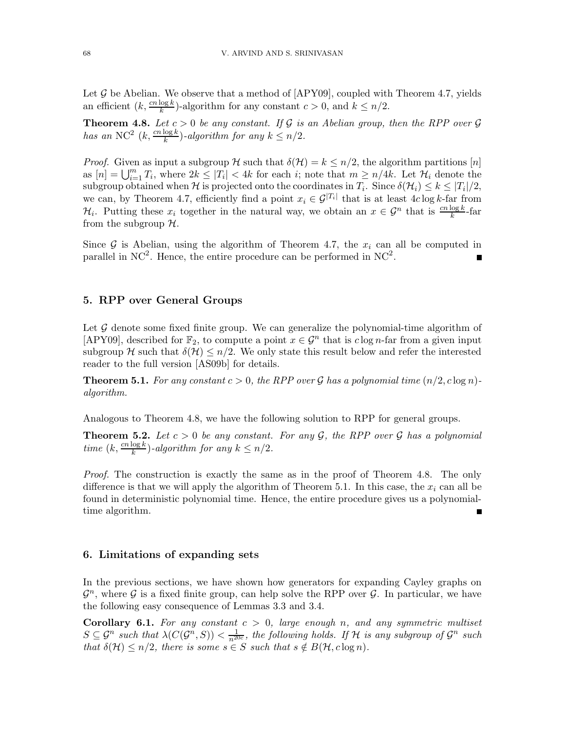Let  $\mathcal G$  be Abelian. We observe that a method of  $[APY09]$ , coupled with Theorem 4.7, yields an efficient  $(k, \frac{cn \log k}{k})$ -algorithm for any constant  $c > 0$ , and  $k \leq n/2$ .

**Theorem 4.8.** Let  $c > 0$  be any constant. If G is an Abelian group, then the RPP over G has an NC<sup>2</sup>  $(k, \frac{cn \log k}{k})$ -algorithm for any  $k \leq n/2$ .

*Proof.* Given as input a subgroup H such that  $\delta(\mathcal{H}) = k \leq n/2$ , the algorithm partitions [n] as  $[n] = \bigcup_{i=1}^m T_i$ , where  $2k \leq |T_i| < 4k$  for each i; note that  $m \geq n/4k$ . Let  $\mathcal{H}_i$  denote the subgroup obtained when H is projected onto the coordinates in  $T_i$ . Since  $\delta(\mathcal{H}_i) \leq k \leq |T_i|/2$ , we can, by Theorem 4.7, efficiently find a point  $x_i \in \mathcal{G}^{|T_i|}$  that is at least  $4c \log k$ -far from  $\mathcal{H}_i$ . Putting these  $x_i$  together in the natural way, we obtain an  $x \in \mathcal{G}^n$  that is  $\frac{cn \log k}{k}$ -far from the subgroup  $H$ .

Since G is Abelian, using the algorithm of Theorem 4.7, the  $x_i$  can all be computed in parallel in  $NC^2$ . Hence, the entire procedure can be performed in  $NC^2$ .

### 5. RPP over General Groups

Let  $\mathcal G$  denote some fixed finite group. We can generalize the polynomial-time algorithm of [APY09], described for  $\mathbb{F}_2$ , to compute a point  $x \in \mathcal{G}^n$  that is  $c \log n$ -far from a given input subgroup H such that  $\delta(\mathcal{H}) \leq n/2$ . We only state this result below and refer the interested reader to the full version [AS09b] for details.

**Theorem 5.1.** For any constant  $c > 0$ , the RPP over G has a polynomial time  $(n/2, c \log n)$ algorithm.

Analogous to Theorem 4.8, we have the following solution to RPP for general groups.

**Theorem 5.2.** Let  $c > 0$  be any constant. For any  $\mathcal{G}$ , the RPP over  $\mathcal{G}$  has a polynomial time  $(k, \frac{cn \log k}{k})$ -algorithm for any  $k \leq n/2$ .

Proof. The construction is exactly the same as in the proof of Theorem 4.8. The only difference is that we will apply the algorithm of Theorem 5.1. In this case, the  $x_i$  can all be found in deterministic polynomial time. Hence, the entire procedure gives us a polynomialtime algorithm.

#### 6. Limitations of expanding sets

In the previous sections, we have shown how generators for expanding Cayley graphs on  $\mathcal{G}^n$ , where  $\mathcal G$  is a fixed finite group, can help solve the RPP over  $\mathcal G$ . In particular, we have the following easy consequence of Lemmas 3.3 and 3.4.

**Corollary 6.1.** For any constant  $c > 0$ , large enough n, and any symmetric multiset  $S \subseteq \mathcal{G}^n$  such that  $\lambda(C(\mathcal{G}^n, S)) < \frac{1}{n^{20c}}$ , the following holds. If H is any subgroup of  $\mathcal{G}^n$  such that  $\delta(\mathcal{H}) \leq n/2$ , there is some  $s \in S$  such that  $s \notin B(\mathcal{H}, c \log n)$ .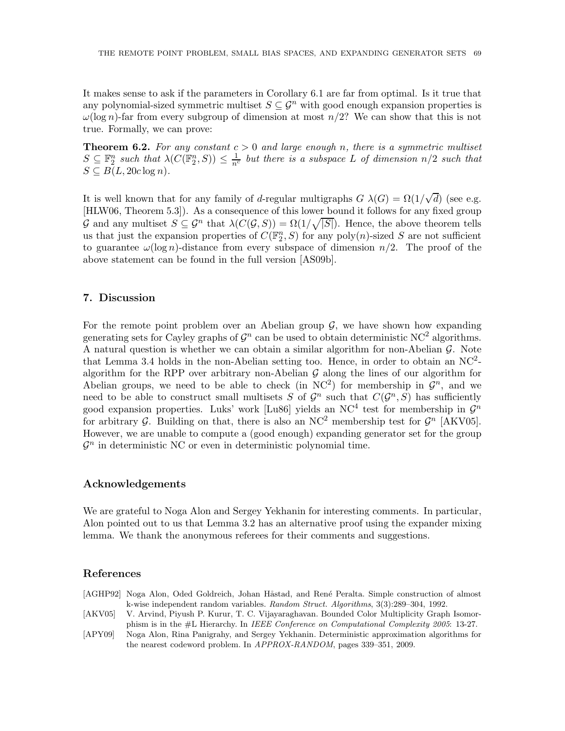It makes sense to ask if the parameters in Corollary 6.1 are far from optimal. Is it true that any polynomial-sized symmetric multiset  $S \subseteq \mathcal{G}^n$  with good enough expansion properties is  $\omega(\log n)$ -far from every subgroup of dimension at most  $n/2$ ? We can show that this is not true. Formally, we can prove:

**Theorem 6.2.** For any constant  $c > 0$  and large enough n, there is a symmetric multiset  $S \subseteq \mathbb{F}_2^n$  such that  $\lambda(C(\mathbb{F}_2^n, S)) \leq \frac{1}{n^c}$  but there is a subspace L of dimension  $n/2$  such that  $S \subseteq B(L, 20c \log n)$ .

It is well known that for any family of d-regular multigraphs  $G \lambda(G) = \Omega(1/\sqrt{d})$  (see e.g. [HLW06, Theorem 5.3]). As a consequence of this lower bound it follows for any fixed group G and any multiset  $S \subseteq \mathcal{G}^n$  that  $\lambda(C(\mathcal{G},S)) = \Omega(1/\sqrt{|S|})$ . Hence, the above theorem tells us that just the expansion properties of  $C(\mathbb{F}_2^n, S)$  for any poly $(n)$ -sized S are not sufficient to guarantee  $\omega(\log n)$ -distance from every subspace of dimension  $n/2$ . The proof of the above statement can be found in the full version [AS09b].

#### 7. Discussion

For the remote point problem over an Abelian group  $\mathcal{G}$ , we have shown how expanding generating sets for Cayley graphs of  $\mathcal{G}^n$  can be used to obtain deterministic NC<sup>2</sup> algorithms. A natural question is whether we can obtain a similar algorithm for non-Abelian  $\mathcal G$ . Note that Lemma 3.4 holds in the non-Abelian setting too. Hence, in order to obtain an  $NC^2$ algorithm for the RPP over arbitrary non-Abelian  $\mathcal G$  along the lines of our algorithm for Abelian groups, we need to be able to check (in  $NC^2$ ) for membership in  $\mathcal{G}^n$ , and we need to be able to construct small multisets S of  $\mathcal{G}^n$  such that  $C(\mathcal{G}^n, S)$  has sufficiently good expansion properties. Luks' work [Lu86] yields an NC<sup>4</sup> test for membership in  $\mathcal{G}^n$ for arbitrary  $\mathcal{G}$ . Building on that, there is also an NC<sup>2</sup> membership test for  $\mathcal{G}^n$  [AKV05]. However, we are unable to compute a (good enough) expanding generator set for the group  $\mathcal{G}^n$  in deterministic NC or even in deterministic polynomial time.

#### Acknowledgements

We are grateful to Noga Alon and Sergey Yekhanin for interesting comments. In particular, Alon pointed out to us that Lemma 3.2 has an alternative proof using the expander mixing lemma. We thank the anonymous referees for their comments and suggestions.

### References

| [AGHP92] Noga Alon, Oded Goldreich, Johan Håstad, and René Peralta. Simple construction of almost |
|---------------------------------------------------------------------------------------------------|
| k-wise independent random variables. Random Struct. Algorithms, 3(3):289–304, 1992.               |
|                                                                                                   |

- [AKV05] V. Arvind, Piyush P. Kurur, T. C. Vijayaraghavan. Bounded Color Multiplicity Graph Isomorphism is in the #L Hierarchy. In *IEEE Conference on Computational Complexity 2005*: 13-27.
- [APY09] Noga Alon, Rina Panigrahy, and Sergey Yekhanin. Deterministic approximation algorithms for the nearest codeword problem. In *APPROX-RANDOM*, pages 339–351, 2009.